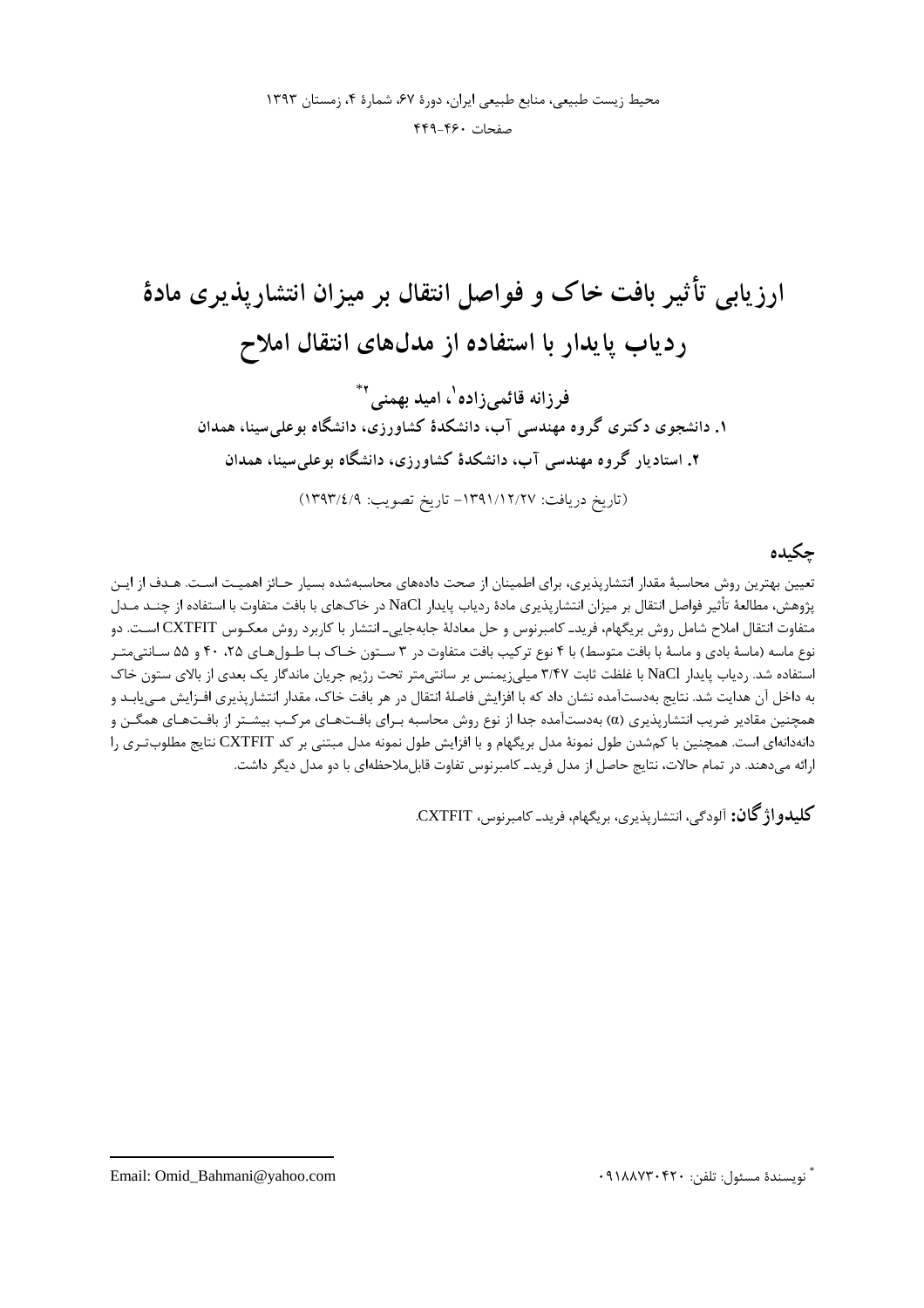ارزیابی تأثیر بافت خاک و فواصل انتقال بر میزان انتشاریذیری مادهٔ ردیاب پایدار با استفاده از مدلهای انتقال املاح فرزانه قائمی;زاده<sup>۱</sup>، امید بهمنی<sup>۲\*</sup> ۱. دانشجوی دکتری گروه مهندسی آب، دانشکدهٔ کشاورزی، دانشگاه بوعلی سینا، همدان ۲. استادیار گروه مهندسی آب، دانشکدهٔ کشاورزی، دانشگاه بوعلی سینا، همدان (تاريخ دريافت: ١٣٩١/١٢/٢٧ - تاريخ تصويب: ١٣٩٣/٤/٩)

# چكىدە

تعیین بهترین روش محاسبهٔ مقدار انتشارپذیری، برای اطمینان از صحت دادههای محاسبهشده بسیار حـائز اهمیـت اسـت. هـدف از ایـن يژوهش، مطالعهٔ تأثير فواصل انتقال بر ميزان انتشاريذيري مادهٔ ردياب يايدار NaCl در خاکـهاي با بافت متفاوت با استفاده از چنــد مــدل متفاوت انتقال املاح شامل روش بريگهام، فريدـ كامبرنوس و حل معادلهٔ جابهجايي\_ انتشار با كاربرد روش معكـوس CXTFIT اسـت. دو نوع ماسه (ماسهٔ بادی و ماسهٔ با بافت متوسط) با ۴ نوع ترکیب بافت متفاوت در ۳ سـتون خـاک بـا طـولهـای ۲۵، ۴۰ و ۵۵ سـانتیمتـر استفاده شد. ردیاب پایدار NaCl با غلظت ثابت ۳/۴۷ میلی;یمنس بر سانتی متر تحت رژیم جریان ماندگار یک بعدی از بالای ستون خاک به داخل آن هدایت شد. نتایج بهدستآمده نشان داد که با افزایش فاصلهٔ انتقال در هر بافت خاک، مقدار انتشارپذیری افـزایش مـیLپابـد و همچنین مقادیر ضریب انتشارپذیری (α) بهدستآمده جدا از نوع روش محاسبه بـرای بافـتهـای مرکـب بیشـتر از بافـتهـای همگـن و دانهدانهای است. همچنین با کمشدن طول نمونهٔ مدل بریگهام و با افزایش طول نمونه مدل مبتنی بر کد CXTFIT نتایج مطلوبتـری را ارائه می،دهند. در تمام حالات، نتایج حاصل از مدل فرید\_ کامبرنوس تفاوت قابل،ملاحظهای با دو مدل دیگر داشت.

**كليلدواژ گان:** آلودگي، انتشاريذيي، پر بگهام، فريد\_ كاميرنوس، CXTFIT.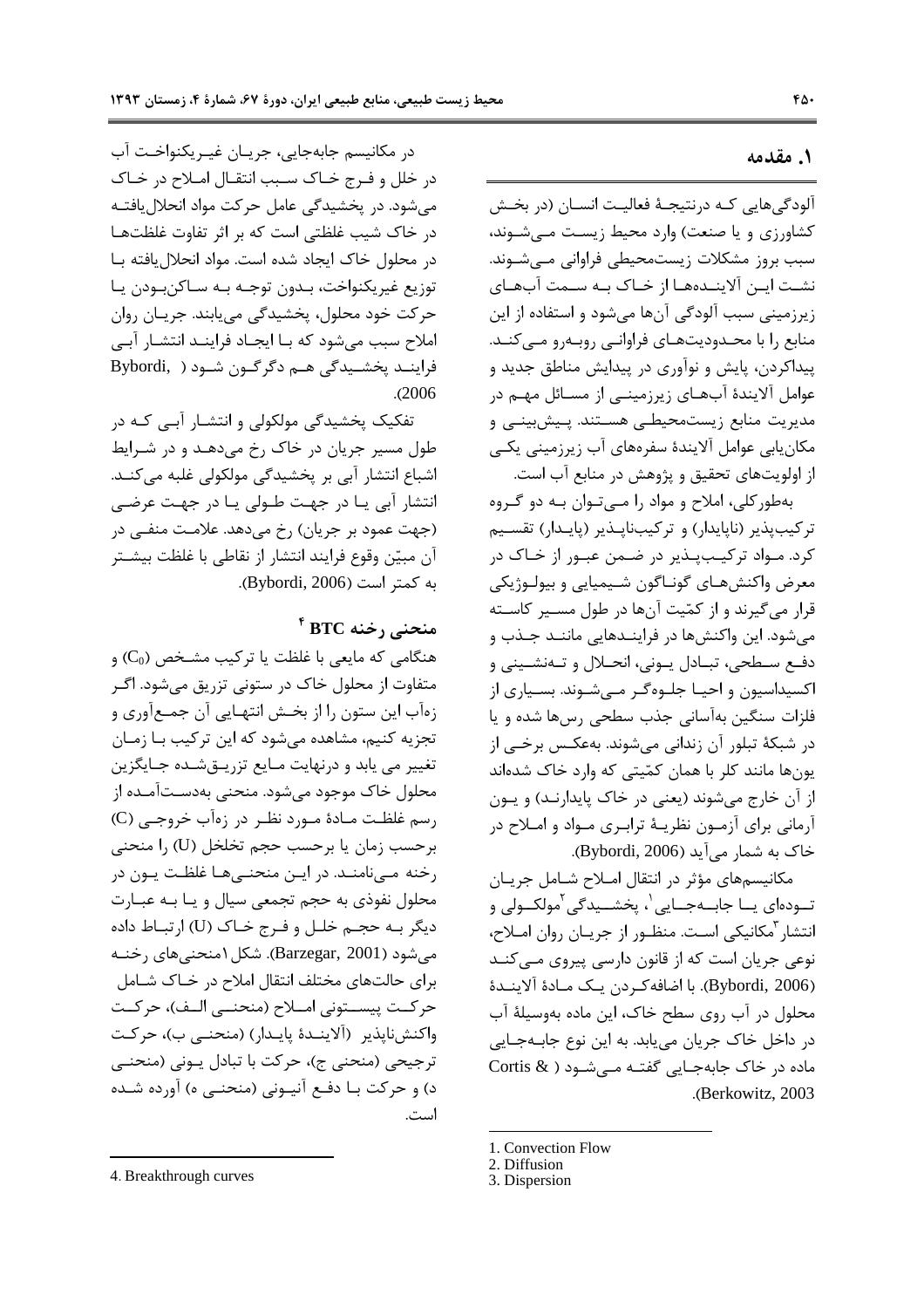#### ١. مقدمه

آلودگی هایی کـه درنتیجـهٔ فعالیـت انسـان (در بخـش کشاورزی و یا صنعت) وارد محیط زیست مے شـوند، سبب بروز مشکلات زیستمحیطی فراوانی مے شـوند. نشـت ايـن آلاينــدههــا از خــاک بــه ســمت آبهـاي زیرزمینی سبب آلودگی آنها میشود و استفاده از این منابع را با محدودیتهای فراوانیی روبهرو میکند. پیداکردن، پایش و نوآوری در پیدایش مناطق جدید و عوامل آلایندهٔ آبهـای زیرزمینـی از مسـائل مهـم در مدیریت منابع زیستمحیطی هستند. پـیشبینـی و مکان یابی عوامل آلایندهٔ سفرههای آب زیرزمینی یکے از اولويتهاي تحقيق و پژوهش در منابع آب است.

بهطور کلی، املاح و مواد را مـی تـوان بـه دو گـروه ترکیبپذیر (ناپایدار) و ترکیبناپـذیر (پایـدار) تقسـیم کرد. مـواد ترکیـبپـذیر در ضـمن عبـور از خـاک در معرض واكنشهـاي گونـاگون شـيميايي و بيولـوژيكي قرار میگیرند و از کمّیت آنها در طول مسـیر کاسـته می شود. این واکنشها در فراینـدهایی ماننـد جـذب و دفع سطحي، تبـادل يـوني، انحـلال و تـهنشـيني و اکسیداسیون و احیـا جلـوهگـر مـیشـوند. بسـیاری از فلزات سنگین بهآسانی جذب سطحی رسها شده و یا در شبكهٔ تبلور آن زندانی میشوند. بهعكـس برخـی از یونها مانند کلر با همان کمّیتی که وارد خاک شدهاند از آن خارج می شوند (یعنی در خاک پایدارنـد) و یـون آرمانی برای آزمـون نظریـهٔ ترابـری مـواد و امـلاح در خاک به شمار می آید (Bybordi, 2006).

مکانیسمهای مؤثر در انتقال امـلاح شـامل جریـان تــودهاي يــا جابــهجــايي`، پخشــيدگي<sup>٢</sup>مولكــولى و انتشار <sup>۳</sup>مکانیکی است. منظـور از جریـان روان امــلاح، نوعي جريان است كه از قانون دارسي پيروي مـي كنــد (Bybordi, 2006). با اضافه كردن يك مـادة آلاينـدة محلول در آب روی سطح خاک، این ماده بهوسیلهٔ آب در داخل خاک جریان می یابد. به این نوع جابـهجـایی ماده در خاک جابهجـایی گفتـه مـی شـود ( Cortis & .(Berkowitz, 2003).

- 2. Diffusion
- 3. Dispersion

در مكانيسم جابهجايي، جريـان غيـريكنواخـت آب در خلل و فـرج خـاک سـبب انتقـال امـلاح در خـاک می شود. در یخشیدگی عامل حرکت مواد انحلال یافتـه در خاک شیب غلظتی است که بر اثر تفاوت غلظتها در محلول خاک ایجاد شده است. مواد انحلال یافته با توزيع غيريكنواخت، بـدون توجـه بـه سـاكنبـودن يـا حرکت خود محلول، پخشیدگی می یابند. جریـان روان املاح سبب میشود که بـا ایجـاد فراینــد انتشـار آبــی فراينــد يخشــيدگي هــم دگرگــون شــود ( Bybordi,  $. (2006)$ 

تفکیک پخشیدگی مولکولی و انتشـار آبـی کـه در طول مسیر جریان در خاک رخ میدهـد و در شـرایط اشباع انتشار آبی بر پخشیدگی مولکولی غلبه میکنـد. انتشار آبی یا در جهت طـولی یـا در جهـت عرضـی (جهت عمود بر جريان) رخ مي دهد. علامـت منفـي در آن مبيّن وقوع فرايند انتشار از نقاطي با غلظت بيشـتر به كمتر است (Bybordi, 2006).

## $^{\mathfrak k}$  BTC منحنی رخنه

هنگامی که مایعی با غلظت یا ترکیب مشـخص (C<sub>0</sub>) و متفاوت از محلول خاک در ستونی تزریق میشود. اگـر زهأب اين ستون را از بخـش انتهـايي آن جمـعأوري و تجزیه کنیم، مشاهده می شود که این ترکیب بـا زمـان تغییر می یابد و درنهایت مـایع تزریــقشــده جــایگزین محلول خاک موجود میشود. منحنی بهدسـتآمـده از رسم غلظت مـادهٔ مـورد نظـر در زهآب خروجـي (C) برحسب زمان يا برحسب حجم تخلخل (U) را منحنى رخنه مینامنـد. در ایـن منحنـیهـا غلظـت یـون در محلول نفوذي به حجم تجمعي سيال و يـا بـه عبـارت دیگر بـه حجـم خلـل و فـرج خـاک (U) ا<sub>ر</sub>تبـاط داده می شود (Barzegar, 2001). شکل ۱منحنی های رخنـه برای حالتهای مختلف انتقال املاح در خاک شامل حركت پيســتوني امــلاح (منحنــي الــف)، حركــت واكنشiيذير (آلاينـدۀ يايـدار) (منحنـى ب)، حركـت ترجیحی (منحنی ج)، حرکت با تبادل پـونی (منحنــی د) و حركت بــا دفــع آنيــوني (منحنــی ه) آورده شــده است.

<sup>1.</sup> Convection Flow

<sup>4.</sup> Breakthrough curves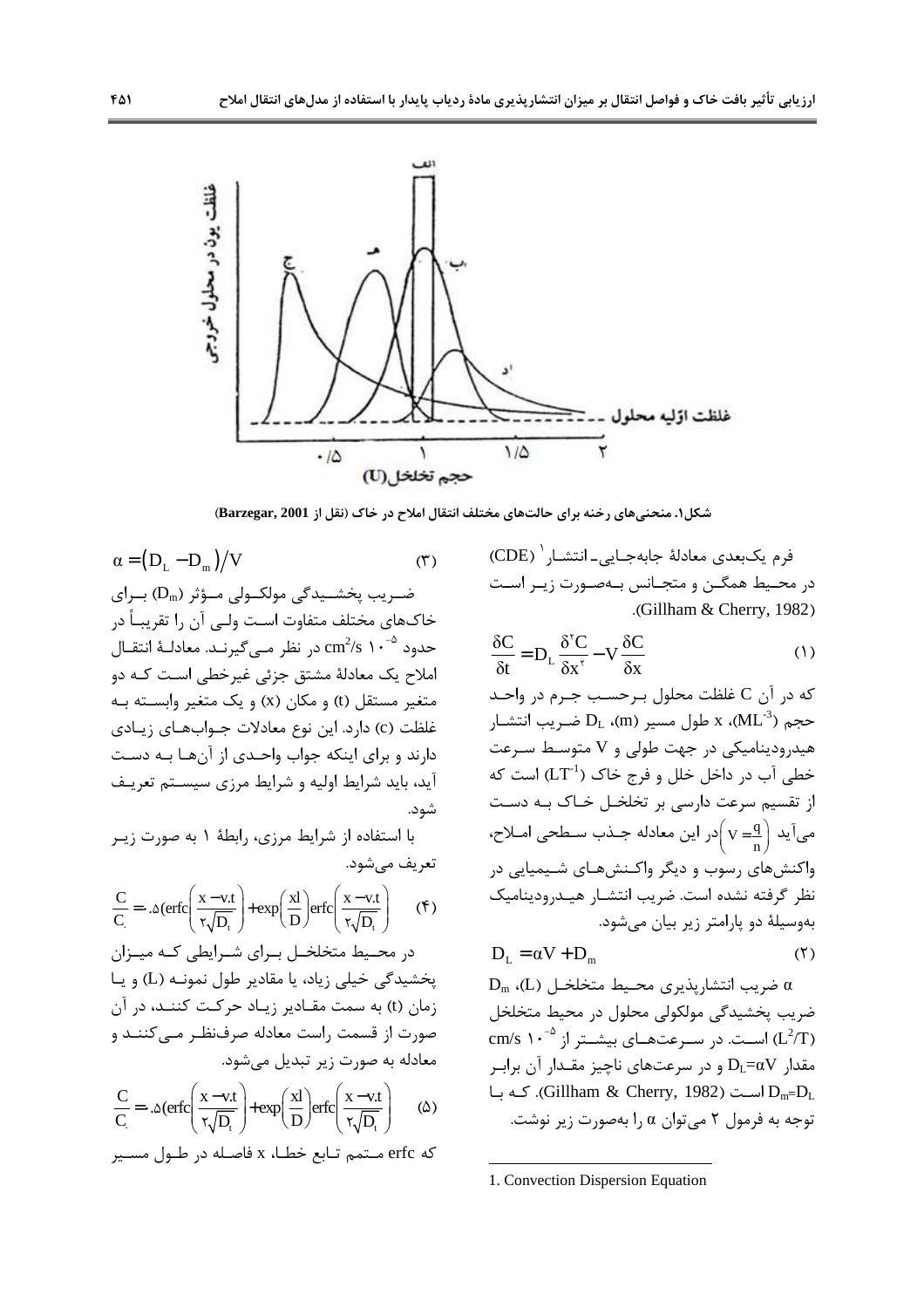

شکل۱. منحنیهای رخنه برای حالتهای مختلف انتقال املاح در خاک (نقل از Barzegar, 2001)

 $\sim$ 

فرم يكبعدي معادلة جابهجـايي\_انتشـار `` (CDE) در محـيط همگـن و متجـانس بـهصـورت زيـر اسـت .(Gillham & Cherry, 1982)

$$
\frac{\delta C}{\delta t} = D_L \frac{\delta^{\mathsf{T}} C}{\delta x^{\mathsf{T}}} - V \frac{\delta C}{\delta x}
$$
 (1)

كه در آن C غلظت محلول بـرحسـب جـرم در واحـد ر (ML-3) محجم (ML-3) مع الله عسير (m).  $D_L$  ضريب انتشـار هیدرودینامیکی در جهت طولی و V متوسط سرعت خطی آب در داخل خلل و فرج خاک (LT<sup>-1</sup>) است که از تقسیم سرعت دارسی بر تخلخـل خـاک بـه دسـت می آید  $\left(\mathrm{v}=\frac{\mathrm{q}}{\mathrm{q}}\right)$ در این معادله جـذب سـطحی امـلاح، واکنشهای رسوب و دیگر واکـنشهـای شـیمیایی در نظر گرفته نشده است. ضريب انتشـار هيـدروديناميک بهوسیلهٔ دو پارامتر زیر بیان می شود.

$$
D_{L} = \alpha V + D_{m} \tag{7}
$$

 $D_m$  (L) ضريب انتشارپذيرى محيط متخلخـل (L) ضریب یخشیدگی مولکولی محلول در محیط متخلخل cm/s ۱۰<sup>-۵</sup> اسـت. در سـرعتهـای بیشـتر از  $( L^2/T )$ مقدار  $\mathrm{D}_\mathrm{L}{=}\alpha \mathrm{V}$  و در سرعتهای ناچیز مقــدار آن برابـر است (Gillham & Cherry, 1982). کـه بـا $D_m = D_L$ توجه به فرمول ۲ می توان  $\alpha$  را بهصورت زیر نوشت.

\n (۳) 
$$
\alpha = (D_L - D_m)/V
$$
  
\n ó—ریب پخش\_یدگی مولکولی م-ؤثر (D<sub>m</sub>) بیاری  
\n خاکهای مختلف متفاوت است ولی آن را تقریباً در  
\n حدود <sup>۵</sup>۰۰ <sup>2</sup>6 n<sup>-2</sup>6 n<sup>-1</sup> 24 در نظر مےگیرنید. معادلهٔ انتقال  
\n املاح یک معادلهٔ مشتق جزئی غیرخطی استه به دویت  
\n فنظت (t) دارد. این نوع معادلات جوابهای زیادی  
\n فاند و برای اینکه جواب واحدی از آنها به دستت  
\n آید، باید شرایط اولیه و شرایط مرزی سیستم تعریف  
\n آید، باید شرایط اولیه و شرایط مرزی سیستم تعریف  
\n شود.  
\n

با استفاده از شرایط مرزی، رابطهٔ ۱ به صورت زیـر تعريف مي شود.

$$
\frac{C}{C_{.}} = \cdot .\Delta(\text{erfc}\left(\frac{x - v.t}{\tau\sqrt{D_{t}}}\right) + \exp\left(\frac{xI}{D}\right) \text{erfc}\left(\frac{x - v.t}{\tau\sqrt{D_{t}}}\right) \qquad (*)
$$

در محـیط متخلخـل بـرای شـرایطی کـه میـزان یخشیدگی خیلی زیاد، یا مقادیر طول نمونـه (L) و یـا زمان (t) به سمت مقـادیر زیـاد حرکـت کننـد، در آن صورت از قسمت راست معادله صرفنظر مـى كننـد و معادله به صورت زیر تبدیل می شود.

$$
\frac{C}{C} = \cdot \Delta(\text{erfc}\left(\frac{x - v.t}{\tau \sqrt{D_t}}\right) + \exp\left(\frac{xI}{D}\right) \text{erfc}\left(\frac{x - v.t}{\tau \sqrt{D_t}}\right) \tag{2}
$$

كه erfc متمم تابع خطا، x فاصله در طول مسير

<sup>1.</sup> Convection Dispersion Equation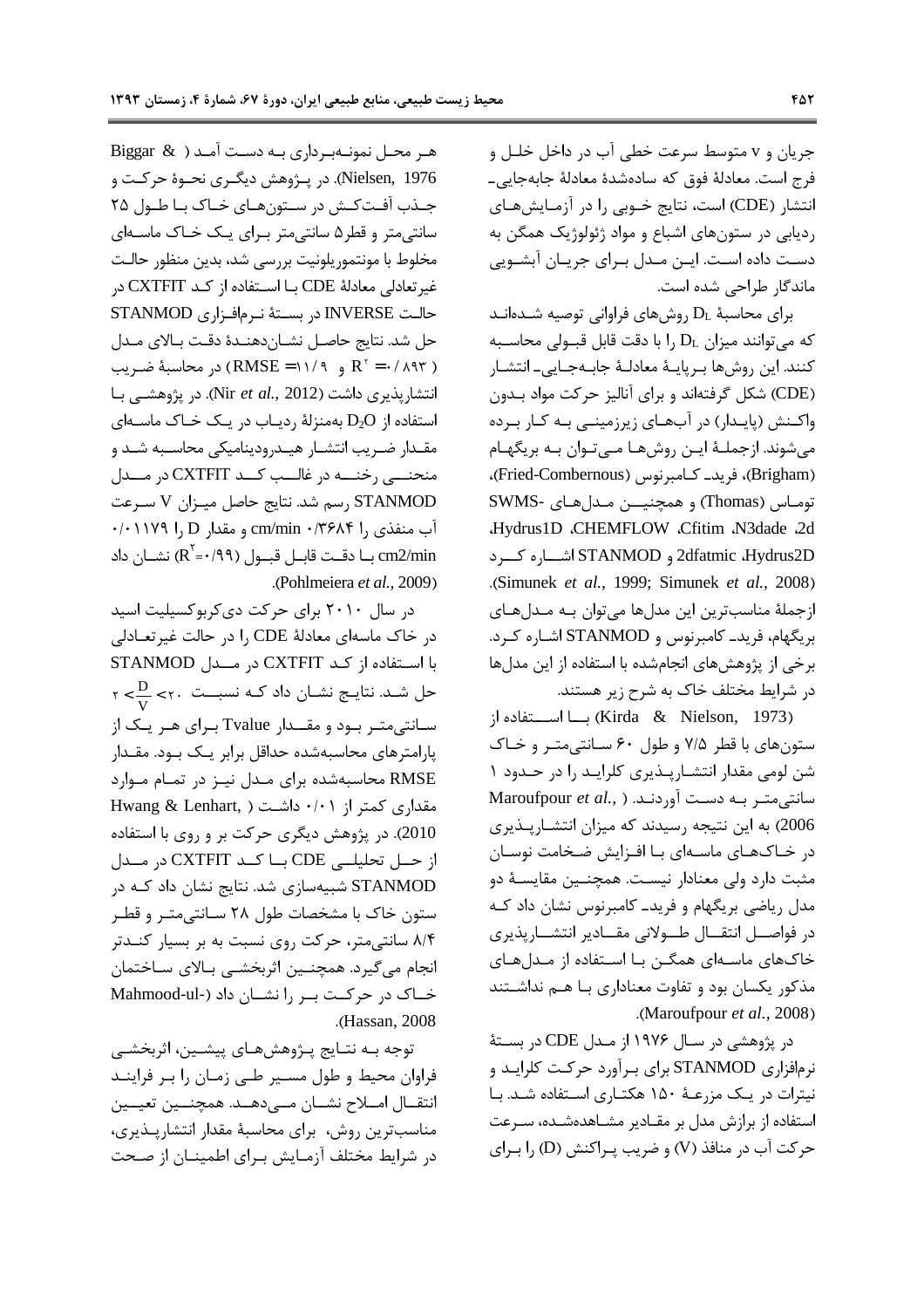جريان و v متوسط سرعت خطي آب در داخل خلـل و فرج است. معادلهٔ فوق که سادهشدهٔ معادلهٔ جابهجایی۔ انتشار (CDE) است، نتایج خــوبی را در آزمـایشهـای رديابي در ستونهاي اشباع و مواد ژئولوژيک همگن به دست داده است. ایـن مـدل بـرای جریـان آبشـویی ماندگار طراحی شده است.

برای محاسبهٔ  $D_L$  روشهای فراوانی توصیه شـدهانـد که میتوانند میزان  $D_L$  را با دقت قابل قبـولی محاسـبه كنند. اين روشها بـريايــهٔ معادلــهٔ جابــهجـايي\_ انتشـار (CDE) شکل گرفتهاند و برای آنالیز حرکت مواد بدون واکنش (پایـدار) در آبهـای زیرزمینـی بـه کـار بـرده می شوند. ازجملـهٔ ایـن روشهـا مـی تـوان بـه بریگهـام (Brigham)، فرید۔ کـامبرنوس (Fried-Combernous)، توماس (Thomas) و همچنیــن مـدلهای -SWMS Hydrus1D .CHEMFLOW .Cfitim .N3dade .2d 2dfatmic ،Hydrus2D و STANMOD اشاره كسرد .(Simunek et al., 1999; Simunek et al., 2008) ازجملهٔ مناسبترین این مدلها میتوان بـه مـدلهـای بریگهام، فرید\_ کامبرنوس و STANMOD اشـاره کـرد. برخی از پژوهشهای انجامشده با استفاده از این مدلها در شرایط مختلف خاک به شرح زیر هستند.

(Kirda & Nielson, 1973) با استغاده از ستونهای با قطر ۷/۵ و طول ۶۰ سانتی متر و خاک شن لومی مقدار انتشارپذیری کلراید را در حدود ۱ Maroufpour et al., ) سانتی متـر بـه دسـت آوردنـد. 2006) به این نتیجه رسیدند که میزان انتشـارپـذیری در خـاکـهـای ماسـهای بـا افـزایش ضـخامت نوسـان مثبت دارد ولي معنادار نيست. همچنـين مقايســهٔ دو مدل ریاضی بریگهام و فرید۔ کامبرنوس نشان داد کـه در فواصــل انتقــال طــولاني مقــادير انتشــارپذيري خاکهای ماسـهای همگـن بـا اسـتفاده از مـدلهـای مذکور یکسان بود و تفاوت معناداری بـا هـم نداشـتند .(Maroufpour et al., 2008)

در پژوهشی در سـال ۱۹۷۶ از مـدل CDE در بسـتهٔ نرمافزاری STANMOD برای بـرآورد حرکـت کلرايـد و نیترات در یک مزرعـهٔ ۱۵۰ هکتـاری اسـتفاده شـد. بـا استفاده از برازش مدل بر مقـادیر مشـاهدهشـده، سـرعت حركت آب در منافذ (V) و ضريب يـراكنش (D) ,ا بـراي

Biggar  $\&$  ) هر محـل نمونـهبـرداري بـه دسـت آمـد Nielsen, 1976). در پــژوهش ديگــري نحــوهٔ حركــت و جـذب آفـت كـش در سـتونهـاى خـاك بـاطـول ٢۵ سانتی متر و قطر ۵ سانتی متر بـرای یـک خـاک ماسـهای مخلوط با مونتموريلونيت بررسي شد، بدين منظور حالت غيرتعادلي معادلة CDE بـا اسـتفاده از كـد CXTFIT در حالت INVERSE در بستهٔ نرمافزاری STANMOD حل شد. نتايج حاصـل نشـاندهنـدۀ دقـت بـالاي مـدل بر محاسبةً ضريب (RMSE = ۱۱/۹)  $R^r = \cdot / \wedge T$ انتشارپذیری داشت (Nir et al., 2012). در پژوهشـی بـا استفاده از D2O بهمنزلهٔ ردیاب در یک خاک ماسـهای مقـدار ضـريب انتشـار هيـدروديناميكي محاسـبه شـد و منحنسي رخنسه در غالسب كسد CXTFIT در مسدل STANMOD رسم شد. نتايج حاصل ميزان V سرعت آب منفذي , cm/min · /٣۶٨۴ l و مقدار cm/min ٠/٢٩٨۴ بــا دقــت قابــل قبــول (٩٩/٠='R) نشــان داد (R) .(Pohlmeiera et al., 2009).

در سال ۲۰۱۰ برای حرکت دی کربوکسیلیت اسید در خاک ماسهای معادلهٔ CDE را در حالت غیرتعـادلی با استفاده از کـد CXTFIT در مــدل STANMOD  $\mathsf{y} < \frac{\mathsf{D}}{\mathsf{y}} < \mathsf{y}$ . حل شـد. نتایـج نشـان داد کـه نسبــت سـانتي متـر بـود و مقــدار Tvalue بـراي هـر يـک از یارامترهای محاسبهشده حداقل برابر یـک بـود. مقـدار RMSE محاسبهشده برای مدل نیز در تمام موارد Hwang & Lenhart, ) داشت ( ۰/۰۱ kwang & Lenhart, 2010). در پژوهش دیگری حرکت بر و روی با استفاده از حــل تحليلــي CDE بــا كــد CXTFIT در مــدل STANMOD شبیهسازی شد. نتایج نشان داد کـه در ستون خاک با مشخصات طول ۲۸ سـانتی متـر و قطـر ۸/۴ سانتی متر، حرکت روی نسبت به بر بسیار کنــدتر انجام می گیرد. همچنــین اثربخشــی بـالای سـاختمان خاک در حرکت بر را نشان داد (-Mahmood-ul .(Hassan, 2008).

توجه بـه نتـايج پـژوهشهـاي پيشـين، اثربخشـي فراوان محيط و طول مسير طبي زمـان را بـر فراينـد انتقــال امــلاح نشــان مــىدهــد. همچنــين تعيــين مناسب ترین روش، برای محاسبهٔ مقدار انتشارپذیری، در شرایط مختلف آزمـایش بـرای اطمینـان از صـحت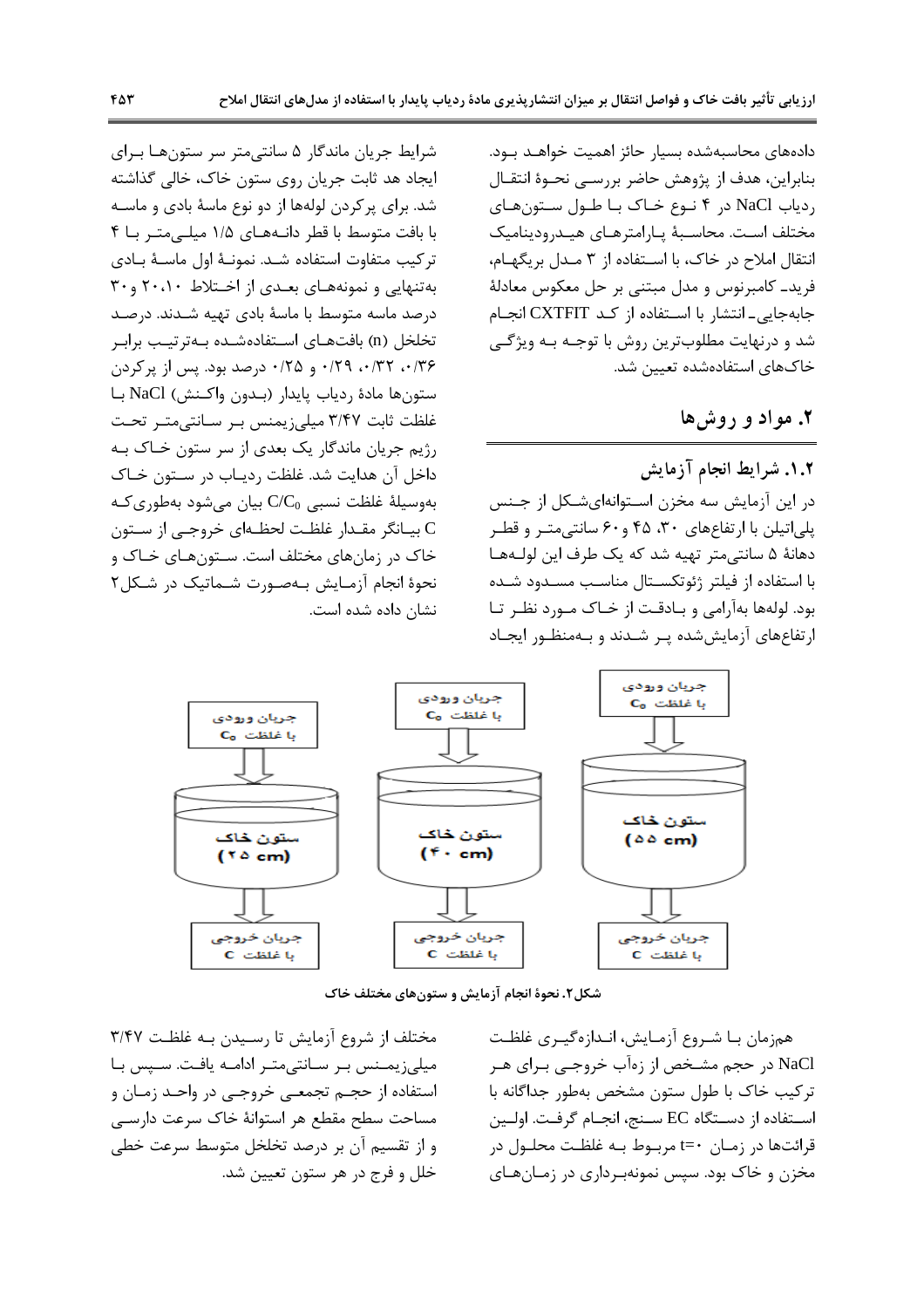دادههای محاسبهشده بسیار حائز اهمیت خواهـد بـود. بنابراین، هدف از پژوهش حاضر بررسـی نحـوهٔ انتقــال ردیاب NaCl در ۴ نـوع خـاک بـا طـول سـتونهـای مختلف است. محاسـبهٔ یـارامترهـای هیـدرودینامیک انتقال املاح در خاک، با استفاده از ۳ مـدل بریگهـام، فريد\_ كامبرنوس و مدل مبتنى بر حل معكوس معادلة جابهجایی- انتشار با استفاده از کـد CXTFIT انجـام شد و درنهایت مطلوبترین روش با توجـه بـه ویژگـی خاکهای استفادهشده تعیین شد.

# ۲. مواد و روشها

١.٢. شرايط انجام آزمايش در این آزمایش سه مخزن استوانهایشکل از جنس پلیاتیلن با ارتفاعهای ۳۰، ۴۵ و۶۰ سانتی متر و قطر دهانهٔ ۵ سانتے متر تهیه شد که یک طرف این لولـههـا با استفاده از فیلتر ژئوتکسـتال مناسـب مسـدود شـده بود. لولهها بهآرامی و بـادقـت از خـاک مـورد نظـر تـا ارتفاع های آزمایش شده پر شدند و بهمنظور ایجاد

شرایط جریان ماندگار ۵ سانتیمتر سر ستونهـا بـرای ايجاد هد ثابت جريان روى ستون خاک، خالي گذاشته شد. برای پرکردن لولهها از دو نوع ماسهٔ بادی و ماسـه با بافت متوسط با قطر دانههای ١/٥ میله متر با ۴ تركيب متفاوت استفاده شـد. نمونـهٔ اول ماسـهٔ بـادی به تنهایی و نمونههای بعـدی از اخـتلاط ۲۰،۱۰ و ۳۰ درصد ماسه متوسط با ماسهٔ بادی تهیه شـدند. درصـد تخلخل (n) بافتهــاي اســتفادهشــده بــهترتيــب برابــر ۰/۳۶، ۰/۳۲، ۰/۳۹ و ۰/۲۵ درصد بود. پس از پرکردن ستون ها مادة ردياب پايدار (بـدون واكـنش) NaCl بـا غلظت ثابت ٣/٤٧ ميلي; يمنس بر سانتي متر تحت رژیم جریان ماندگار یک بعدی از سر ستون خـاک بـه داخل آن هدایت شد. غلظت ردیـاب در سـتون خـاک  $C/C_0$  بهوسيلهٔ غلظت نسبي  $C/C_0$  بيان مي شود بهطوري كـه بيـانگر مقـدار غلظـت لحظـهاي خروجـي از سـتون C خاک در زمانهای مختلف است. سـتونهـای خـاک و نحوهٔ انجام آزمایش بهصورت شماتیک در شکل۲ نشان داده شده است.



شکل۲. نحوهٔ انجام آزمایش و ستونهای مختلف خاک

همزمان بـا شـروع آزمـايش، انـدازهگيـري غلظـت NaCl در حجم مشخص از زهآب خروجـي بـراي هـر ترکیب خاک با طول ستون مشخص بهطور جداگانه با استفاده از دستگاه EC سنج، انجـام گرفـت. اولـين قرائتها در زمـان ·=t مربـوط بـه غلظـت محلـول در مخزن و خاک بود. سپس نمونهبرداری در زمـانهـای

مختلف از شروع آزمایش تا رسیدن بـه غلظت ۳/۴۷ میلیزیمنس بر سانتی متر ادامه یافت. سپس با استفاده از حجـم تجمعـي خروجـي در واحـد زمـان و مساحت سطح مقطع هر استوانهٔ خاک سرعت دارسـی و از تقسیم آن بر درصد تخلخل متوسط سرعت خطی خلل و فرج در هر ستون تعيين شد.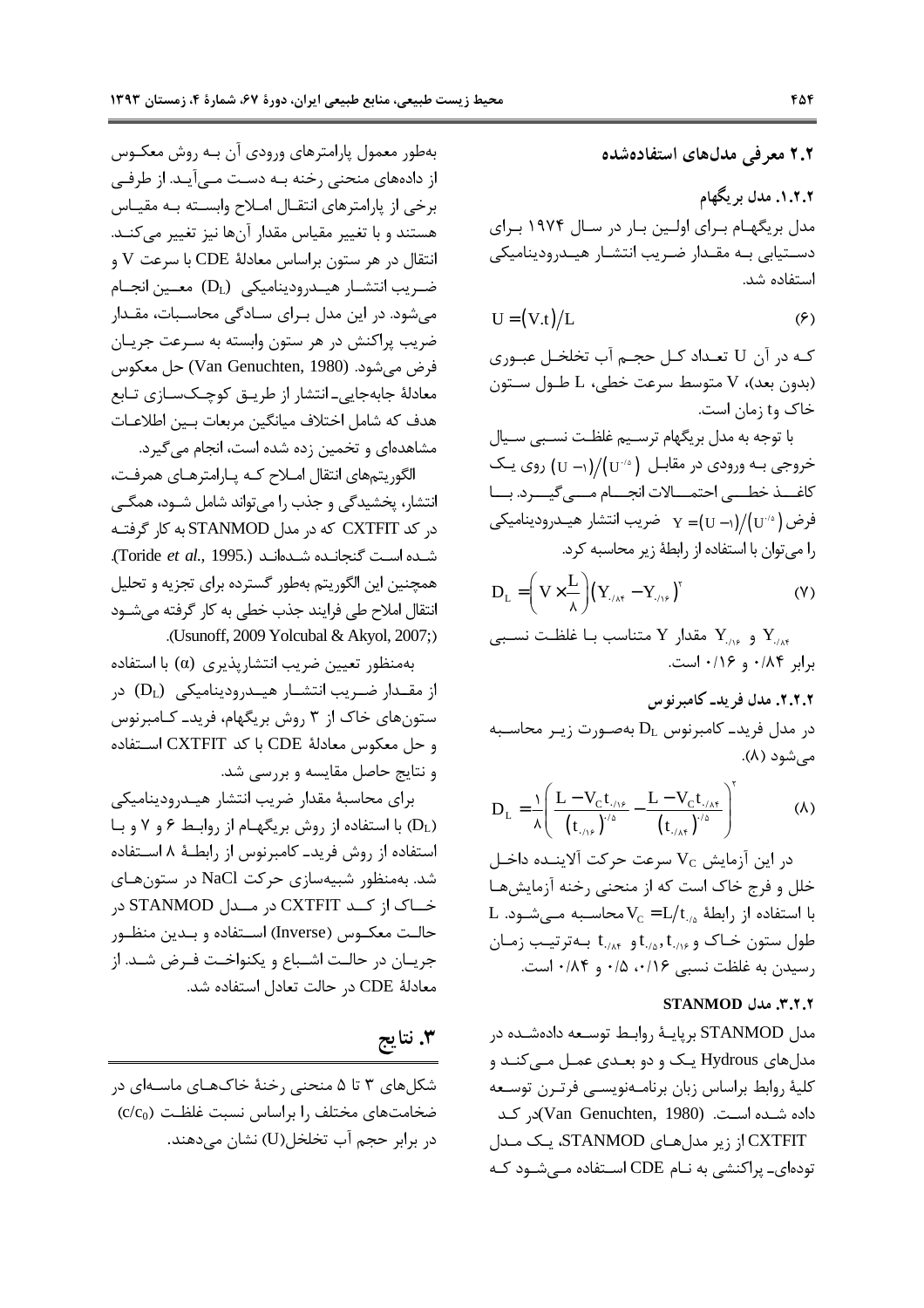بهطور معمول پارامترهای ورودی آن بـه روش معکـوس از دادههای منحنی رخنه بـه دسـت مــی آیـد. از طرفــی برخی از پارامترهای انتقـال امـلاح وابسـته بـه مقيـاس هستند و با تغییر مقیاس مقدار آنها نیز تغییر می کنـد. انتقال در هر ستون براساس معادلهٔ CDE با سرعت V و ضريب انتشـار هيـدروديناميكي (D<sub>L</sub>) معـين انجـام می شود. در این مدل بـرای سـادگی محاسـبات، مقـدار ضریب پراکنش در هر ستون وابسته به سـرعت جریـان فرض مي شود. (Van Genuchten, 1980) حل معكوس معادلهٔ جابهجایی۔ انتشار از طریـق کوچـکسـازی تـابع هدف كه شامل اختلاف ميانگين مربعات بـين اطلاعـات مشاهدهای و تخمین زده شده است، انجام می گیرد.

الگوريتمهاي انتقال املاح كـه پـارامترهـاي همرفـت، انتشار، پخشیدگی و جذب را می تواند شامل شــود، همگــی در کد CXTFIT که در مدل STANMOD به کار گرفتـه شده است گنجانده شدهاند (Toride et al., 1995.). همچنین این الگوریتم بهطور گسترده برای تجزیه و تحلیل انتقال املاح طی فرایند جذب خطی به کار گرفته میشــود .(Usunoff, 2009 Yolcubal & Akyol, 2007;)

بهمنظور تعيين ضريب انتشاريذيري (a) با استفاده از مقــدار ضــریب انتشــار هیــدرودینامیکی (D<sub>L</sub>) در ستون های خاک از ۳ روش بریگهام، فرید\_ کـامبرنوس وحل معكوس معادلة CDE با كد CXTFIT استفاده و نتایج حاصل مقایسه و بررسی شد.

براي محاسبة مقدار ضريب انتشار هيدروديناميكي (DL) با استفاده از روش بریگهام از روابط ۶ و ۷ و با استفاده از روش فريد\_ كامبرنوس از رابطـهٔ ۸ اسـتفاده شد. بهمنظور شبیهسازی حرکت NaCl در ستونهای خـاک از کــد CXTFIT در مــدل STANMOD در حالـت معكــوس (Inverse) اســتفاده و بــدين منظــور جريــان در حالــت اشــباع و يكنواخــت فــرض شــد. از معادلة CDE در حالت تعادل استفاده شد.

۳. نتايج

شکلهای ۳ تا ۵ منحنی رخنهٔ خاکهـای ماسـهای در  $(c/c_0)$  ضخامتهای مختلف را براساس نسبت غلظـت در برابر حجم آب تخلخل(U) نشان مے دھند. ۲.۲ معرفی مدلهای استفادهشده

۰۱.۲.۲ مدل بر یگهام مدل بریگهـام بـرای اولـین بـار در سـال ۱۹۷۴ بـرای دستیابی به مقدار ضریب انتشار هیـدرودینامیکی استفاده شد.

$$
U = (V.t)/L \tag{9}
$$

کـه در آن U تعـداد کـل حجـم آب تخلخـل عبـوري (بدون بعد)، V متوسط سرعت خطي، L طـول سـتون خاک وt زمان است.

با توجه به مدل بریگهام ترسیم غلظت نسبی سیال خروجی بـه ورودی در مقابـل  $/(U^{-\Delta})/(U^{-1})$  روی یـک كاغــذ خطـــى احتمــالات انجــام مـــى گيـــرد. بــا فرض ( ۲/۰۱)/(( - U = (U = ) ضريب انتشار هيــدروديناميكي را می توان با استفاده از رابطهٔ زیر محاسبه کرد.

$$
D_{L} = \left(V \times \frac{L}{\lambda}\right) \left(Y_{\text{max}} - Y_{\text{max}}\right)^{r}
$$
 (Y)

و  $Y_{\cdot\wedge s}$  مقدار Y متناسب بـا غلظـت نسـبى Y  $\cdot$ برابر ۰/۱۶ و ۰/۱۶ است.

٢.٢.٢. مدل فريد\_ كامبر نوس در مدل فرید۔ کامبرنوس  $D_L$  بهصورت زیـر محاسـبه مے شود (۸).

$$
D_{L} = \frac{1}{\lambda} \left( \frac{L - V_{C} t_{. / \lambda^{c}}}{(t_{. / \lambda^{c}})^{1/ \Delta}} - \frac{L - V_{C} t_{. / \lambda^{c}}}{(t_{. / \lambda^{c}})^{1/ \Delta}} \right)^{r}
$$
(A)

در این آزمایش  $\rm V_{C}$  سرعت حرکت آلاینــده داخـل خلل و فرج خاک است که از منحنی رخنه آزمایشهـا L با استفاده از رابطهٔ  $\rm V_c$  =  $\rm L/t_{\rm /s}$  محاسـبه مـیشـود. طول ستون خـاک و t<sub>۰/۸</sub>, t<sub>۰/۸</sub> و t<sub>۰/۸۴</sub> بـهترتيـب زمـان رسيدن به غلظت نسبي ٠/١۶، ٠/٥ و ٠/٨۴ است.

#### **STANMOD** مدل STANMOD

مدل STANMOD برپایـهٔ روابـط توسـعه دادهشـده در مدلهای Hydrous یک و دو بعـدی عمـل مـی کنـد و كلية روابط براساس زبان برنامـهنويسـي فرتـرن توسـعه داده شده است. (Van Genuchten, 1980)در کد CXTFIT از زیر مدلهای STANMOD، یک مدل تودهای۔ پراکنشی به نـام CDE اسـتفاده مــ شـود کـه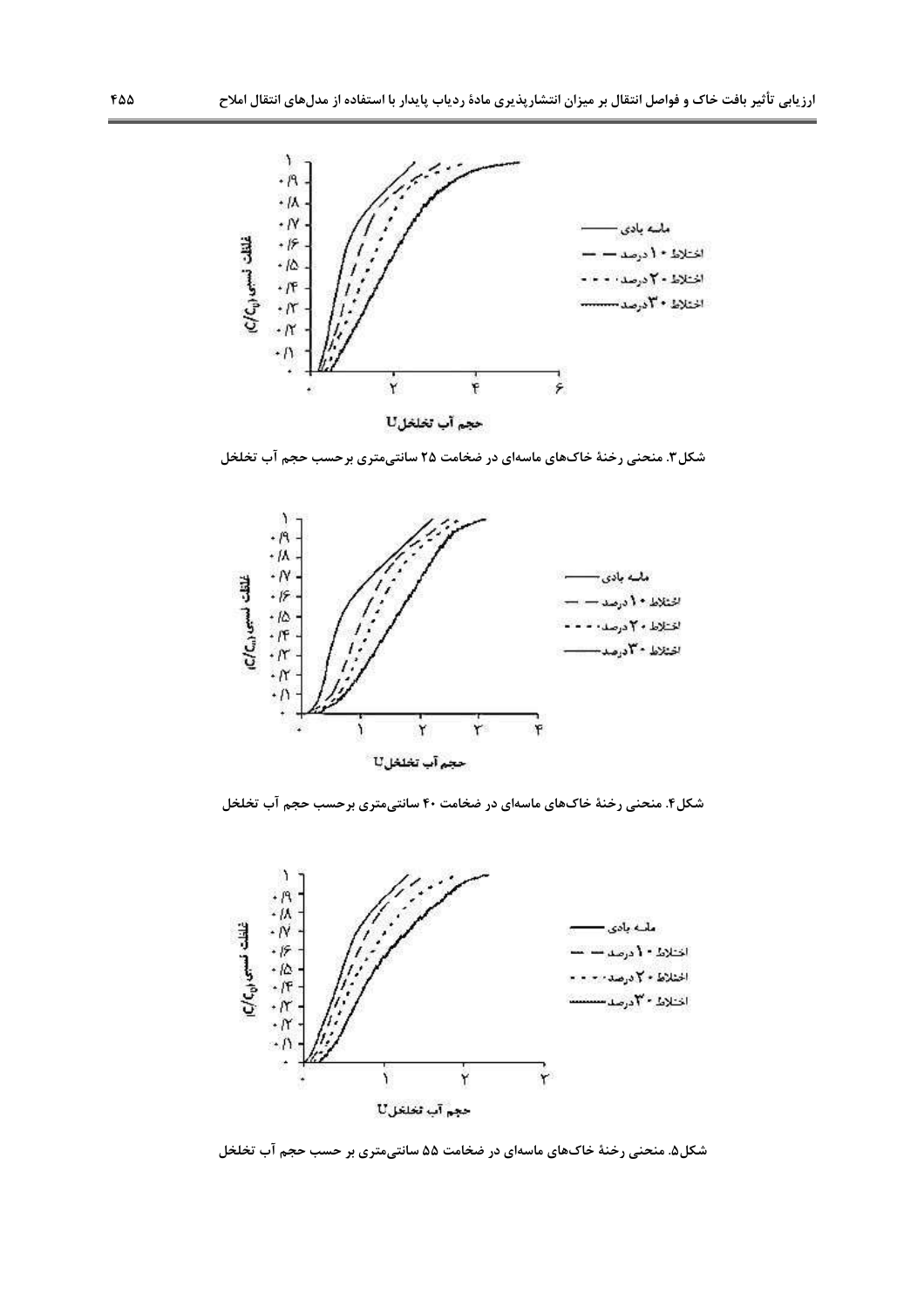

شکل۳. منحنی رخنهٔ خاکهای ماسهای در ضخامت ۲۵ سانتیمتری برحسب حجم آب تخلخل



شکل۴. منحنی رخنهٔ خاکهای ماسهای در ضخامت ۴۰ سانتیمتری برحسب حجم آب تخلخل



شکل۵. منحنی رخنهٔ خاکهای ماسهای در ضخامت ۵۵ سانتیمتری بر حسب حجم آب تخلخل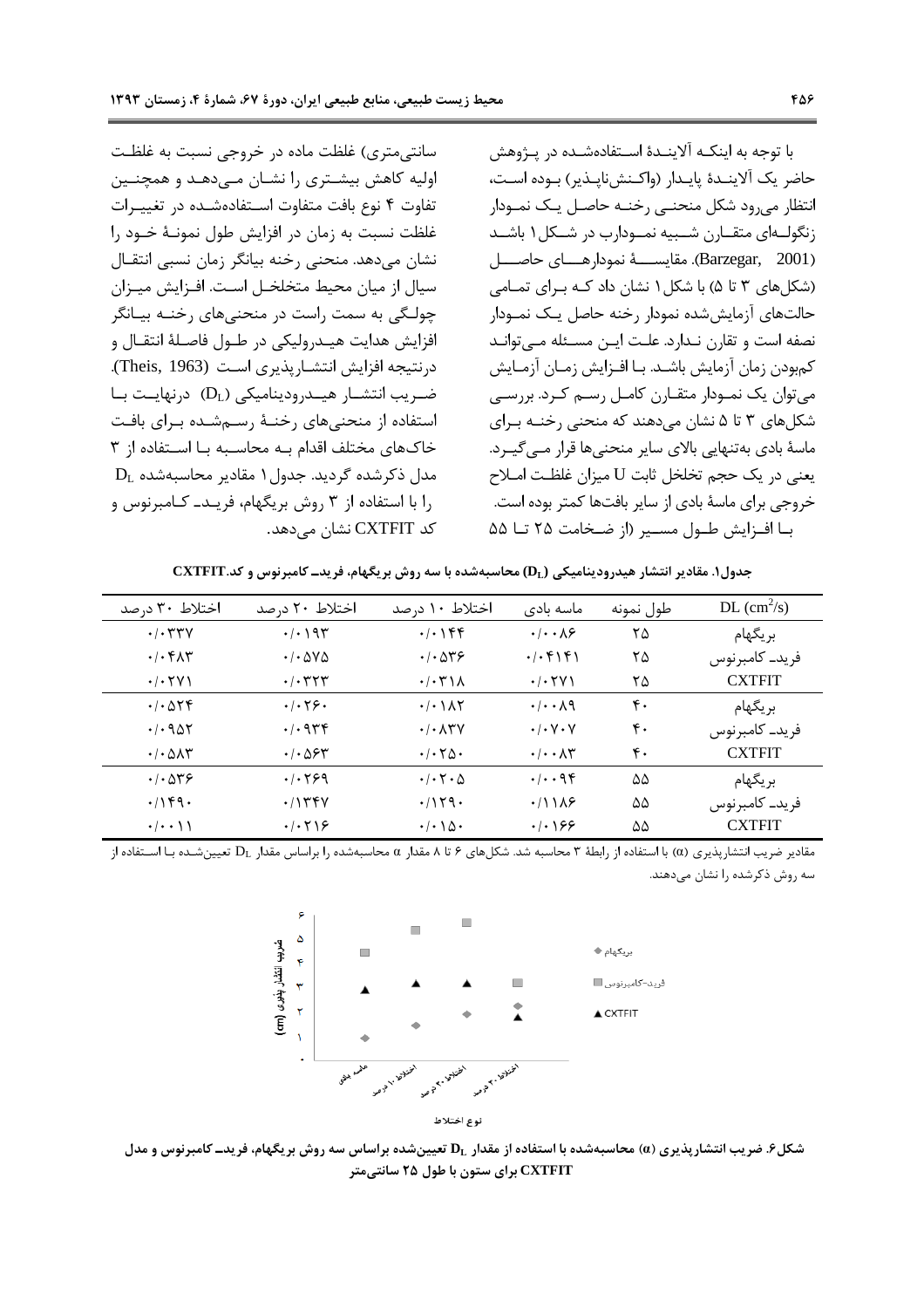با توجه به اینکـه آلاینـدهٔ اسـتفادهشـده در پـژوهش حاضر یک آلاینـدهٔ پایـدار (واکـنش:نایـذیر) بـوده اسـت، انتظار می رود شکل منحنبی رخنـه حاصـل یـک نمـودار زنگولهای متقارن شبیه نمودارب در شکل ۱ باشد (Barzegar, 2001). مقايســــهٔ نمودارهـــای حاصــــل (شکلهای ۳ تا ۵) با شکل ۱ نشان داد کـه بـرای تمـامی حالتهای آزمایش شده نمودار رخنه حاصل یـک نمـودار نصفه است و تقارن نـدارد. علـت ايـن مسـئله مـىتوانـد كمبودن زمان آزمايش باشـد. بـا افـزايش زمـان آزمـايش می توان یک نمـودار متقـارن کامـل رسـم کـرد. بررسـی شکلهای ۳ تا ۵ نشان میدهند که منحنی رخنـه بـرای ماسهٔ بادی بهتنهایی بالای سایر منحنیها قرار مے گیـرد. يعني در يک حجم تخلخل ثابت U ميزان غلظت امـلاح خروجي براي ماسهٔ بادي از ساير بافتها كمتر بوده است. بـا افـزايش طـول مسـير (از ضـخامت ٢۵ تــا ۵۵

سانتی،متری) غلظت ماده در خروجی نسبت به غلظت اولیه کاهش بیشـتری را نشـان مـی۵هـد و همچنـین تفاوت ۴ نوع بافت متفاوت استفادهشده در تغييرات غلظت نسبت به زمان در افزایش طول نمونـهٔ خـود را نشان میدهد. منحنی رخنه بیانگر زمان نسبی انتقـال سیال از میان محیط متخلخـل اسـت. افـزایش میـزان چولـگی به سمت راست در منحنی،های رخنــه بیــانگر افزايش هدايت هيـدروليكي در طـول فاصـلهٔ انتقـال و درنتيجه افزايش انتشـاريذيري اسـت (Theis, 1963).  $(D_L)$  ضریب انتشـار هیــدرودینامیکی (D<sub>L</sub>) درنهایــت بــا استفاده از منحنیهای رخنـهٔ رسـمشـده بـرای بافـت خاکهای مختلف اقدام به محاسبه با استفاده از ۳  $D_L$  مدل ذکرشده گردید. جدول ۱ مقادیر محاسبهشده را با استفاده از ۳ روش بریگهام، فریـد\_ کـامبرنوس و کد CXTFIT نشان مے دھد.

جدول۱. مقادیر انتشار هیدرودینامیکی (DL) محاسبهشده با سه روش بریگهام، فریدــ کامبرنوس و کد.CXTFIT

| اختلاط ۳۰ درصد                                     | اختلاط ۲۰ درصد                                     | اختلاط ۱۰ درصد                                     | ماسه بادی                                      | طول نمونه      | $DL \text{ (cm}^2\text{/s)}$ |
|----------------------------------------------------|----------------------------------------------------|----------------------------------------------------|------------------------------------------------|----------------|------------------------------|
| $\cdot$ / $\cdot$ $\mathsf{r}\mathsf{r}\mathsf{v}$ | $\cdot/\cdot$ ) 95                                 | $./-$ \ $55$                                       | $\cdot$ / $\cdot$ $\wedge$ $\varphi$           | ۲۵             | بر یگهام                     |
| $\cdot$ / $\cdot$ $\uparrow$ $\uparrow$            | $\cdot$ / $\cdot$ $\Delta V\Delta$                 | .4.049                                             | .7.5151                                        | ۲۵             | فرید۔ کامبرنوس               |
| $\cdot$ / $\cdot$ $\uparrow$ $\vee$ $\uparrow$     | $\cdot$ / $\cdot$ $\uparrow$ $\uparrow$ $\uparrow$ | $\cdot$ / $\cdot$ ۳۱۸                              | $\cdot$ / $\cdot$ $\uparrow$ $\vee$ $\uparrow$ | ۲۵             | <b>CXTFIT</b>                |
| $. / . \Delta \Upsilon f$                          | .4.59.                                             | $\cdot/\cdot$ ) $\wedge\Upsilon$                   | $\cdot/\cdot \cdot \wedge q$                   | ۴٠             | بريگهام                      |
| . / . 907                                          | .4946                                              | $\cdot$ / $\cdot$ $\wedge$ $\vee$                  | $\cdot$ / $\cdot$ $\vee$ $\cdot$ $\vee$        | $\mathbf{r}$ . | فرید۔ کامبرنوس               |
| $\cdot$ / $\cdot$ $\Delta$ $\Lambda$ $\tau$        | $\cdot$ / $\cdot$ $\Delta$ $\epsilon$ $\tau$       | $\cdot$ / $\cdot$ $\uparrow$ $\uparrow$ $\uparrow$ | $\cdot/\cdot \cdot \wedge \tau$                | ۴٠             | <b>CXTFIT</b>                |
| .1.049                                             | .1.799                                             | $\cdot$ / $\cdot$ $\uparrow$ $\cdot$ $\uparrow$    | .4.98                                          | ۵۵             | بر یگهام                     |
| .799.                                              | .7158V                                             | .7159.                                             | .711A                                          | ۵۵             | فريد_ كامبرنوس               |
| $\cdot/\cdot\cdot$ \ \                             | .7.59                                              | $\cdot/\cdot \setminus \Delta$                     | $.  . \$                                       | ۵۵             | <b>CXTFIT</b>                |

مقدار مقادیر ضریب انتشارپذیری (α) با استفاده از رابطهٔ ۳ محاسبه شد. شکلهای ۶ تا ۸ مقدار ( α محاسبهشده را براساس مقدار D<sub>L</sub> تعیین شده با استفاده از سه روش ذکرشده را نشان میدهند.



نوع اختلاط

شکل۶. ضریب انتشار پذیری (α) محاسبهشده با استفاده از مقدار ,D تعیینشده براساس سه روش بر یگهام، فریدــ کامبرنوس و مدل CXTFIT برای ستون با طول ۲۵ سانتی متر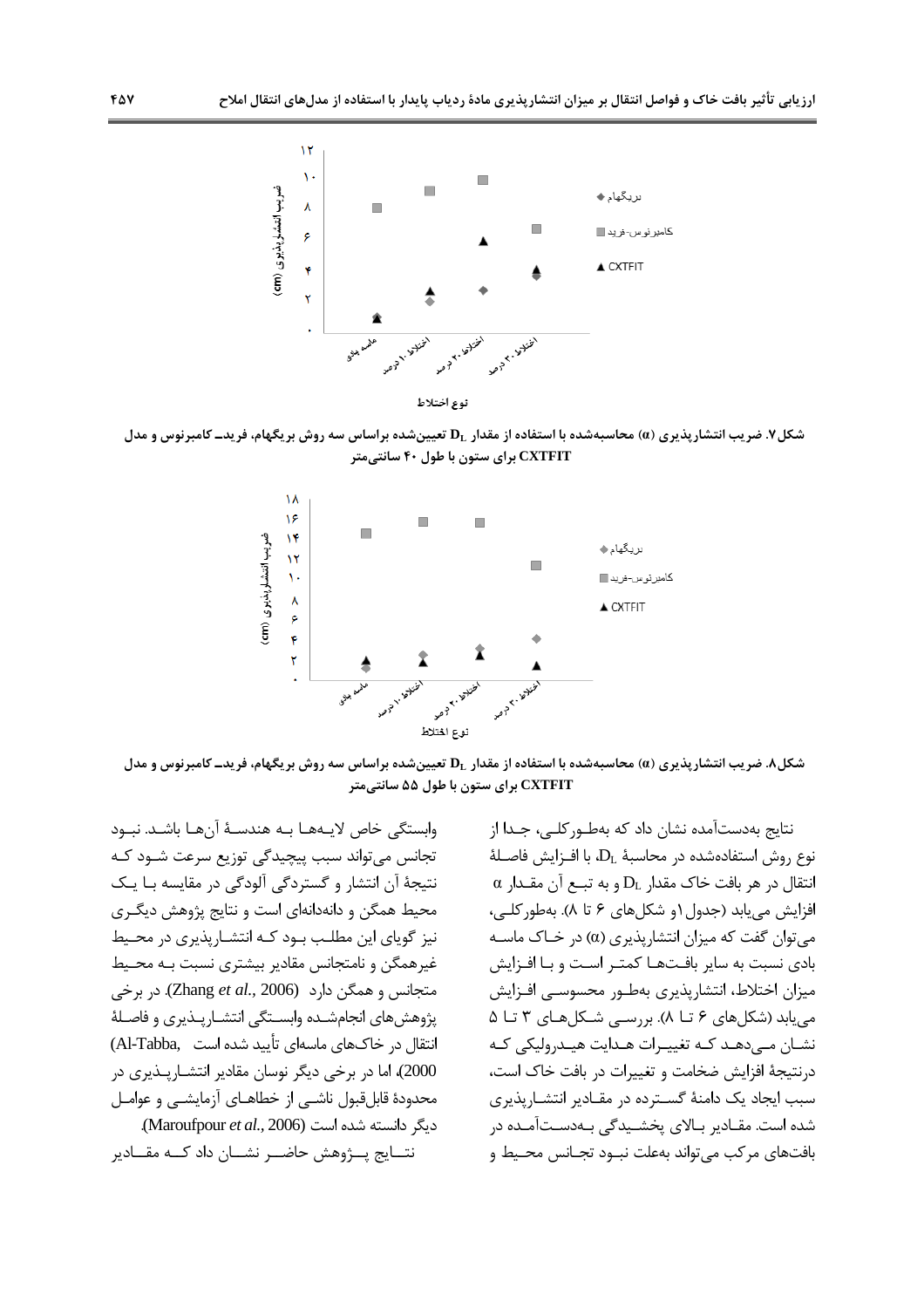

شکل ۷. ضریب انتشار پذیری (a) محاسبهشده با استفاده از مقدار ,D تعیینشده براساس سه روش بر یگهام، فریدــ کامبرنوس و مدل CXTFIT برای ستون با طول ۴۰ سانتی متر



شکل۸. ضریب انتشارپذیری (a) محاسبهشده با استفاده از مقدار  ${\bf D}_{\rm L}$  تعیینشده براساس سه روش بریگهام، فریدــ کامبرنوس و مدل CXTFIT برای ستون با طول ۵۵ سانتیمتر

وابستگی خاص لایـههـا بـه هندسـهٔ آنهـا باشـد. نبـود تجانس می تواند سبب پیچیدگی توزیع سرعت شــود کــه نتیجهٔ آن انتشار و گستردگی آلودگی در مقایسه بـا یـک محیط همگن و دانهدانهای است و نتایج پژوهش دیگـری نیز گویای این مطلب بود کـه انتشـاریذیری در محـیط غیرهمگن و نامتجانس مقادیر بیشتری نسبت بـه محـیط متجانس و همگن دارد (Zhang et al., 2006). در برخی پژوهشهای انجامشده وابستگی انتشارپـذیری و فاصـلهٔ انتقال در خاکـهای ماسهای تأیید شده است ,Al-Tabba) 2000)، اما در برخی دیگر نوسان مقادیر انتشـارپـذیری در محدودهٔ قابلقبول ناشـی از خطاهـای آزمایشـی و عوامـل دیگر دانسته شده است (Maroufpour et al., 2006). نتــايج پـــژوهش حاضـــر نشـــان داد كـــه مقـــادير

نتايج بەدستآمده نشان داد كە بەطـوركلـى، جـدا از  $L$ نوع روش استفادهشده در محاسبهٔ  $D_L$ ، با افـزایش فاصـلهٔ  $\alpha$  انتقال در هر بافت خاک مقدار  $\mathrm{D}_\mathrm{L}$  و به تبــع آن مقــدار افزايش مي يابد (جدول ١و شكلهاي ۶ تا ٨). بهطور كلبي، مي توان گفت كه ميزان انتشاريذيري (α) در خـاک ماســه بادی نسبت به سایر بافتها کمتـر اسـت و بـا افـزایش میزان اختلاط، انتشارپذیری بهطـور محسوسـي افـزايش می یابد (شکلهای ۶ تـا ۸). بررسـی شـکلهـای ۳ تـا ۵ نشان مے دھـد کـه تغییـرات هـدایت هیـدرولیکی کـه درنتیجهٔ افزایش ضخامت و تغییرات در بافت خاک است، سبب ایجاد یک دامنهٔ گسترده در مقـادیر انتشـاریذیری شده است. مقــادیر بــالای یخشــیدگی بــهدســتآمــده در بافتهای مرکب می تواند بهعلت نبود تجـانس محـيط و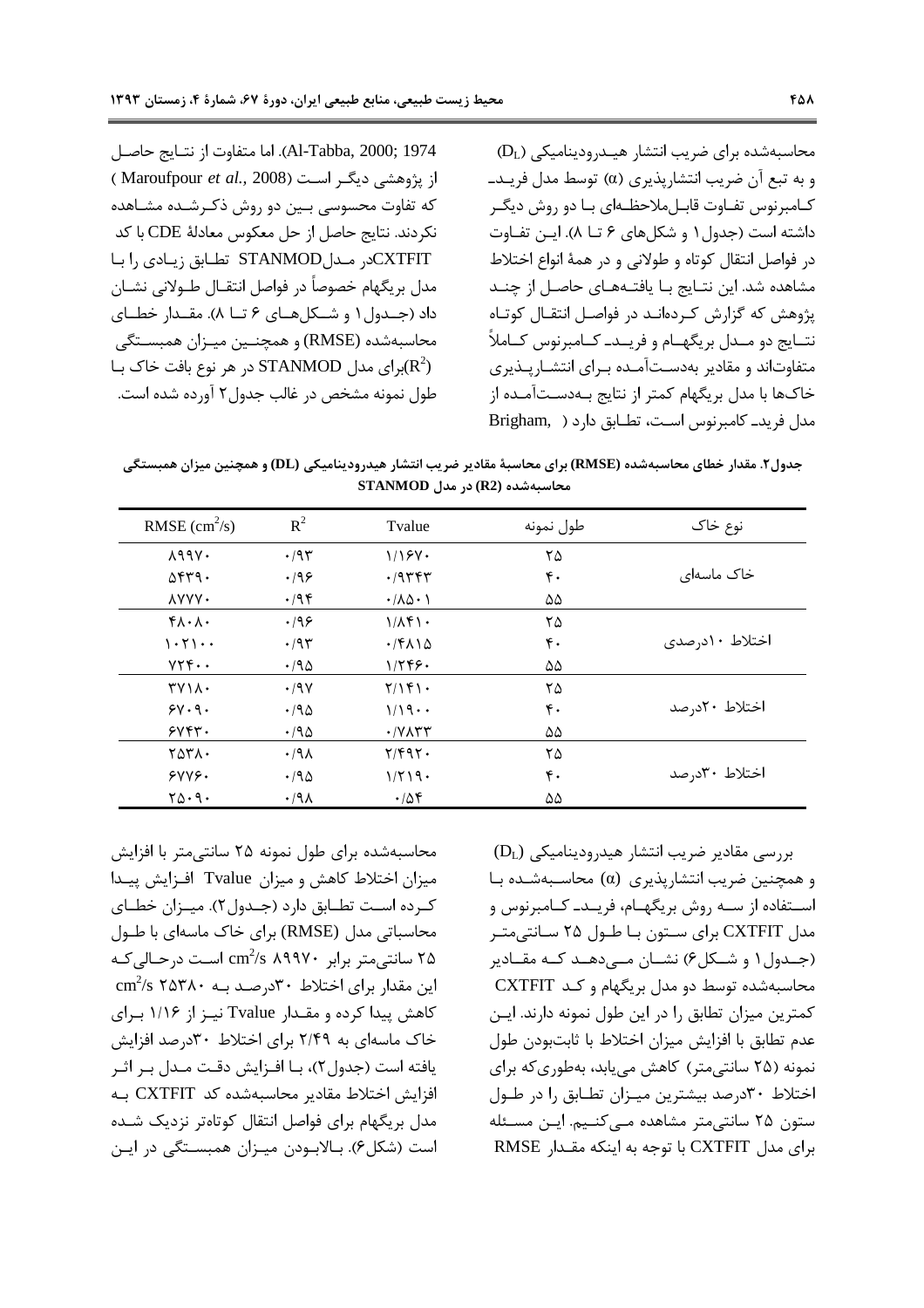Al-Tabba, 2000; 1974). اما متفاوت از نتـايج حاصـل از یژوهشی دیگر است (Maroufpour et al., 2008) که تفاوت محسوسی بـین دو روش ذکـرشـده مشـاهده نكردند. نتايج حاصل از حل معكوس معادلة CDE با كد CXTFIT: تطابق زيادي ,ابا مدل بريگهام خصوصاً در فواصل انتقــال طــولاني نشــان داد (جـدول ۱ و شـكلهـای ۶ تــا ۸). مقــدار خطــای محاسبهشده (RMSE) و همچنـين ميـزان همبسـتگي در هر نوع بافت خاک بـا STANMOD در در مر نوع بافت خاک بـا $({\rm R}^2)$ طول نمونه مشخص در غالب جدول ۲ آورده شده است.

 $(D_L)$  محاسبهشده برای ضریب انتشار هیـدرودینامیکی و به تبع آن ضريب انتشاريذيري (α) توسط مدل فريـد\_ كـامبرنوس تفــاوت قابــلملاحظــهاي بــا دو روش ديگــر داشته است (جدول ۱ و شکلهای ۶ تــا ۸). ایـن تفـاوت در فواصل انتقال كوتاه و طولاني و در همهٔ انواع اختلاط مشاهده شد. این نتـایج بـا یافتــههـای حاصـل از چنــد یژوهش که گزارش کردهانـد در فواصـل انتقـال کوتـاه نتــايج دو مــدل بريگهــام و فريــدـ كــامبرنوس كــاملاً متفاوتاند و مقادیر بهدستآمـده بـرای انتشـاریـذیری خاکها با مدل بریگهام کمتر از نتایج بـهدسـتآمـده از مدل فريدـ كامبرنوس است، تطـابق دارد (Brigham, )

جدول۲. مقدار خطای محاسبهشده (RMSE) برای محاسبهٔ مقادیر ضریب انتشار هیدرودینامیکی (DL) و همچنین میزان همبستگی  $STANMOD$  (R2) در مدل OTANMOD

| RMSE $\text{(cm}^2\text{/s)}$                               | $R^2$        | Tvalue                                 | طول نمونه        | نوع خاک        |
|-------------------------------------------------------------|--------------|----------------------------------------|------------------|----------------|
| $\lambda$ 99 $\lambda$ .                                    | .795         | 1/15V                                  | ۲۵               |                |
| $\Delta$ ۴۳۹.                                               | .199         | .79444                                 | ۴٠               | خاک ماسهای     |
| <b>AYYY.</b>                                                | $\cdot$ /94  | $\cdot$ / $\wedge$ $\wedge$ $\wedge$   | ۵۵               |                |
| $f \wedge \cdot \wedge \cdot$                               | .199         | $1/\lambda f$                          | ۲۵               |                |
| $\cdot$ $\cdot$ $\cdot$ $\cdot$                             | .795         | $\cdot$ /۴۸۱۵                          | ۴٠               | اختلاط ١٠درصدي |
| $YYY \cdot \cdot$                                           | $.40 \times$ | 1/799.                                 | ۵۵               |                |
| $TV \wedge \cdot$                                           | .19V         | Y/YY                                   | ۲۵               |                |
| $5V \cdot 9$ .                                              | .790         | 1/19                                   | $\mathfrak{r}$ . | اختلاط ۲۰درصد  |
| 5Y5Y.                                                       | .790         | $\cdot$ / $V$ $\wedge$ $\wedge$ $\vee$ | ۵۵               |                |
| ۲۵۳۸۰                                                       | $.44\lambda$ | $Y/F9Y$ .                              | ۲۵               |                |
| YYYY                                                        | .790         | $1/\Upsilon$ $19.$                     | $\mathfrak{r}$ . | اختلاط ۳۰درصد  |
| $\mathbf{Y}\mathbf{\Delta}\cdot \mathbf{Q}\cdot \mathbf{C}$ | $.44\lambda$ | $\cdot$ /54                            | ۵۵               |                |
|                                                             |              |                                        |                  |                |

محاسبهشده برای طول نمونه ۲۵ سانتی متر با افزایش میزان اختلاط کاهش و میزان Tvalue افزایش پیدا کـرده اسـت تطـابق دارد (جـدول۲). ميــزان خطــاي محاسباتی مدل (RMSE) برای خاک ماسهای با طول سانتے متر برابر  $\rm cm^2/s$  ۸۹۹۷۰ است درحـالی کـه Cm<sup>2</sup>/s  $\rm cm^2/s$  ۲۵۳۸۰ این مقدار برای اختلاط ۳۰ درصـد بـه کاهش پیدا کرده و مقـدار Tvalue نیـز از ۱/۱۶ بـرای خاک ماسهای به ۲/۴۹ برای اختلاط ۳۰درصد افزایش یافته است (جدول ۲)، بـا افـزایش دقـت مـدل بـر اثـر افزایش اختلاط مقادیر محاسبهشده کد CXTFIT به مدل بریگهام برای فواصل انتقال کوتاهتر نزدیک شـده است (شکل۶). بـالابـودن ميـزان همبسـتگي در ايـن

 $(D_L)$  بررسی مقادیر ضریب انتشار هیدرودینامیکی و همچنین ضریب انتشاریذیری (a) محاسـبهشـده بـا استفاده از سـه روش بریگهـام، فریـدـ کـامبرنوس و مدل CXTFIT برای ستون بـا طـول ۲۵ سـانتیمتـر (جـدول ۱ و شـكل ۶) نشـان مـے دهـد كـه مقـادير محاسبهشده توسط دو مدل بریگهام و کـد CXTFIT كمترين ميزان تطابق را در اين طول نمونه دارند. ايـن عدم تطابق با افزايش ميزان اختلاط با ثابتبودن طول نمونه (۲۵ سانتی متر) کاهش می یابد، بهطوری که برای اختلاط ۳۰درصد بیشترین میهزان تطابق را در طول ستون ٢۵ سانتی متر مشاهده مےکنیم. ایـن مسـئله برای مدل CXTFIT با توجه به اینکه مقـدار RMSE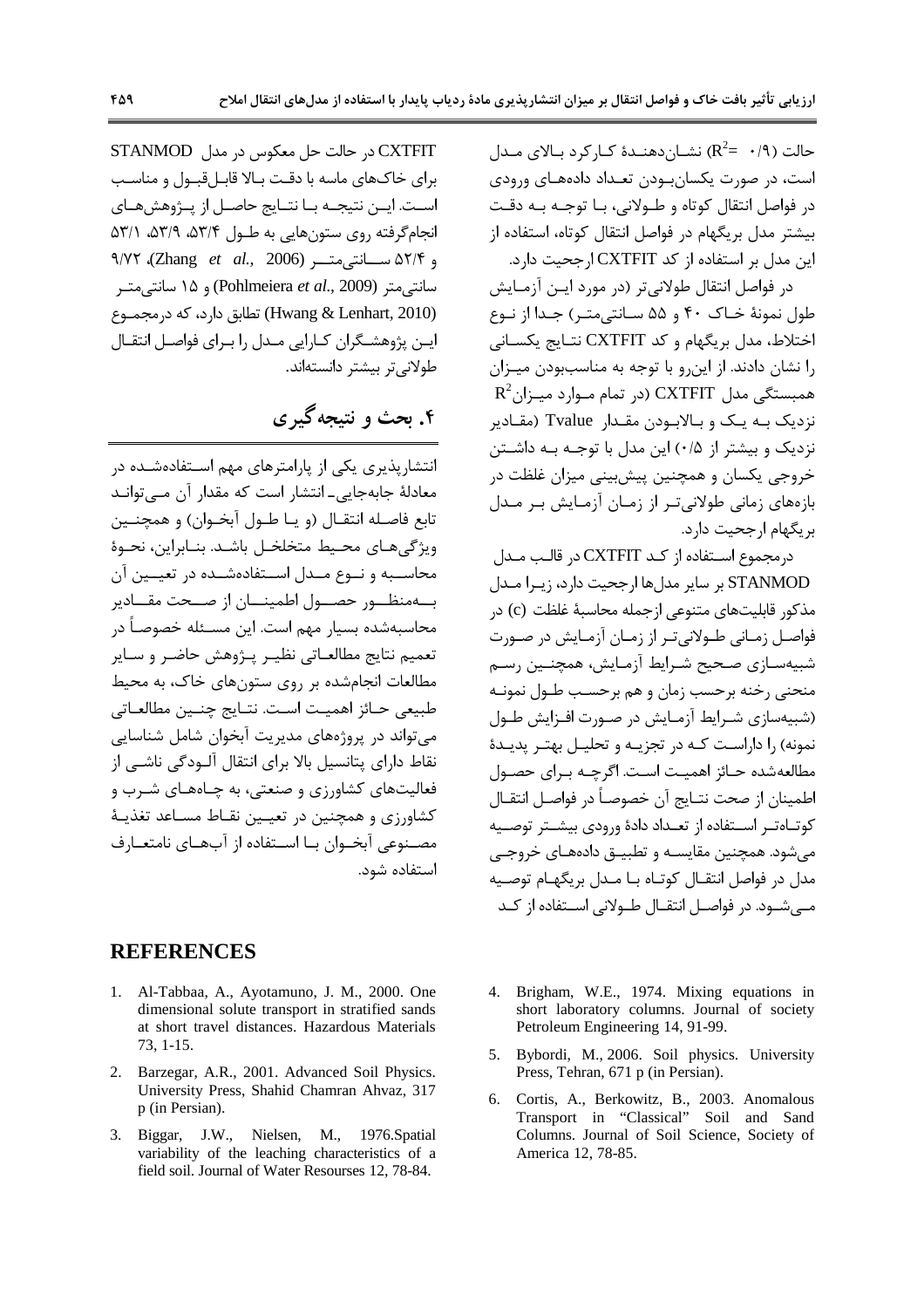حالت (٩/٠  $\mathbb{R}^2$ ) نشــان دهنــدهٔ کــار کر د بــالای مــدل است، در صورت یکسان بودن تعبداد دادههبای ورودی در فواصل انتقال کوتاه و طـولانی، بـا توجـه بـه دقـت بیشتر مدل بریگهام در فواصل انتقال کوتاه، استفاده از این مدل بر استفاده از کد CXTFIT ارجحیت دارد.

در فواصل انتقال طولانی تر (در مورد ایـن آزمـایش طول نمونهٔ خـاک ۴۰ و ۵۵ سـانتي متـر) جـدا از نـوع اختلاط، مدل بریگهام و کد CXTFIT نتـایج یکسـانی را نشان دادند. از این و با توجه به مناسببودن میـزان  $R^2$ همبستگی مدل CXTFIT (در تمام مـوارد میـزان نزدیک بـه یـک و بـالابـودن مقـدار Tvalue (مقـادیر نزدیک و بیشتر از ۰/۵) این مدل با توجـه بـه داشـتن خروجي پکسان و همچنين پيشبيني ميزان غلظت در بازەھای زمانی طولانی تىر از زمـان آزمـايش بـر مـدل بر یگهام ارجحیت دارد.

درمجموع استفاده از کـد CXTFIT در قالب مـدل STANMOD بر ساير مدلها ارجحيت دارد، زيـرا مـدل مذكور قابليتهاي متنوعي ازجمله محاسبهٔ غلظت (c) در فواصـل زمـاني طـولاني تـر از زمـان آزمـايش در صـورت شبيهسـازي صـحيح شـرايط آزمـايش، همچنــين رسـم منحنی رخنه برحسب زمان و هم برحسـب طـول نمونـه (شبیهسازی شـرایط آزمـایش در صـورت افـزایش طـول نمونه) ,ا داراست کـه در تجزیـه و تحلیـل بهتـر پدیـدهٔ مطالعهشده حـائز اهميـت اسـت. اگرچـه بـراي حصـول اطمينان از صحت نتــايج آن خصوصــأ در فواصــل انتقــال کوتــاهتــر اســتفاده از تعــداد دادهٔ ورودی بیشــتر توصــیه مي شود. همچنين مقايسـه و تطبيــق دادههــاي خروجــي مدل در فواصل انتقــال کوتــاه بــا مــدل بریگهــام توصــیه مے شــود. در فواصــل انتقــال طــولانی اســتفاده از کــد

CXTFIT در حالت حل معکوس در مدل STANMOD برای خاکهای ماسه با دقت بالا قابل قبیول و مناسب اسـت. ايــن نتيجــه بــا نتــايج حاصــل از پــژوهشهــاي انجام گرفته روی ستونهایی به طـول ۵۳/۴، ۵۳/۹، ۵۳/۱ و ۵۲/۴ ســانتى متـــر (Zhang et al., 2006)، ۹/۷۲ سانتے متر (Pohlmeiera et al., 2009) و ۱۵ سانتے مت (Hwang & Lenhart, 2010) تطابق دارد، که درمجموع ایــن پژوهشــگران کــارایی مــدل را بــرای فواصــل انتقــال طولانی تر بیشتر دانستهاند.

# ۴. بحث و نتیجه گیری

انتشاریذیری یکی از پارامترهای مهم استفادهشـده در معادلهٔ جابهجایی ـ انتشار است که مقدار آن مــی توانــد تابع فاصـله انتقـال (و يـا طـول آبخـوان) و همچنـين ويژگى هـاى محـيط متخلخـل باشـد. بنـابراين، نحـوهٔ محاسـبه و نـوع مـدل اسـتفادهشـده در تعیـین آن بهمنظور حصول اطمينان از صحت مقادير محاسبهشده بسیار مهم است. این مسـئله خصوصـاً در تعميم نتايج مطالعـاتي نظيـر يــژوهش حاضـر و ســاير مطالعات انجامشده بر روی ستونهای خاک، به محیط طبيعي حـائز اهميـت اسـت. نتـايج چنـين مطالعـاتي می تواند در پروژههای مدیریت آبخوان شامل شناسایی نقاط دارای پتانسیل بالا برای انتقال آلـودگی ناشـی از فعالیتهای کشاورزی و صنعتی، به چـاههـای شـرب و کشاورزی و همچنین در تعیین نقـاط مسـاعد تغذیـهٔ مصـنوعي آبخـوان بــا اســتفاده از آبِهـاي نامتعــارف استفاده شود.

### **REFERENCES**

- 1. Al-Tabbaa, A., Ayotamuno, J. M., 2000. One dimensional solute transport in stratified sands at short travel distances. Hazardous Materials  $73, 1-15.$
- 2. Barzegar, A.R., 2001. Advanced Soil Physics. University Press, Shahid Chamran Ahvaz, 317 p (in Persian).
- 3. Biggar, J.W., Nielsen, M., 1976.Spatial variability of the leaching characteristics of a field soil. Journal of Water Resourses 12, 78-84.
- 4. Brigham, W.E., 1974. Mixing equations in short laboratory columns. Journal of society Petroleum Engineering 14, 91-99.
- 5. Bybordi, M., 2006. Soil physics. University Press, Tehran, 671 p (in Persian).
- Cortis, A., Berkowitz, B., 2003. Anomalous  $6<sup>1</sup>$ Transport in "Classical" Soil and Sand Columns. Journal of Soil Science, Society of America 12, 78-85.